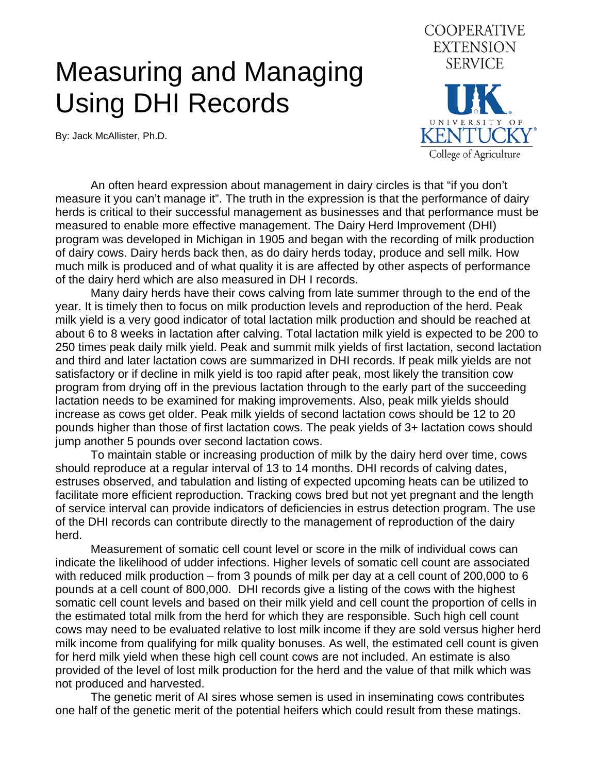## Measuring and Managing Using DHI Records

By: Jack McAllister, Ph.D.



An often heard expression about management in dairy circles is that "if you don't measure it you can't manage it". The truth in the expression is that the performance of dairy herds is critical to their successful management as businesses and that performance must be measured to enable more effective management. The Dairy Herd Improvement (DHI) program was developed in Michigan in 1905 and began with the recording of milk production of dairy cows. Dairy herds back then, as do dairy herds today, produce and sell milk. How much milk is produced and of what quality it is are affected by other aspects of performance of the dairy herd which are also measured in DH I records.

Many dairy herds have their cows calving from late summer through to the end of the year. It is timely then to focus on milk production levels and reproduction of the herd. Peak milk yield is a very good indicator of total lactation milk production and should be reached at about 6 to 8 weeks in lactation after calving. Total lactation milk yield is expected to be 200 to 250 times peak daily milk yield. Peak and summit milk yields of first lactation, second lactation and third and later lactation cows are summarized in DHI records. If peak milk yields are not satisfactory or if decline in milk yield is too rapid after peak, most likely the transition cow program from drying off in the previous lactation through to the early part of the succeeding lactation needs to be examined for making improvements. Also, peak milk yields should increase as cows get older. Peak milk yields of second lactation cows should be 12 to 20 pounds higher than those of first lactation cows. The peak yields of 3+ lactation cows should jump another 5 pounds over second lactation cows.

To maintain stable or increasing production of milk by the dairy herd over time, cows should reproduce at a regular interval of 13 to 14 months. DHI records of calving dates, estruses observed, and tabulation and listing of expected upcoming heats can be utilized to facilitate more efficient reproduction. Tracking cows bred but not yet pregnant and the length of service interval can provide indicators of deficiencies in estrus detection program. The use of the DHI records can contribute directly to the management of reproduction of the dairy herd.

Measurement of somatic cell count level or score in the milk of individual cows can indicate the likelihood of udder infections. Higher levels of somatic cell count are associated with reduced milk production – from 3 pounds of milk per day at a cell count of 200,000 to 6 pounds at a cell count of 800,000. DHI records give a listing of the cows with the highest somatic cell count levels and based on their milk yield and cell count the proportion of cells in the estimated total milk from the herd for which they are responsible. Such high cell count cows may need to be evaluated relative to lost milk income if they are sold versus higher herd milk income from qualifying for milk quality bonuses. As well, the estimated cell count is given for herd milk yield when these high cell count cows are not included. An estimate is also provided of the level of lost milk production for the herd and the value of that milk which was not produced and harvested.

The genetic merit of AI sires whose semen is used in inseminating cows contributes one half of the genetic merit of the potential heifers which could result from these matings.